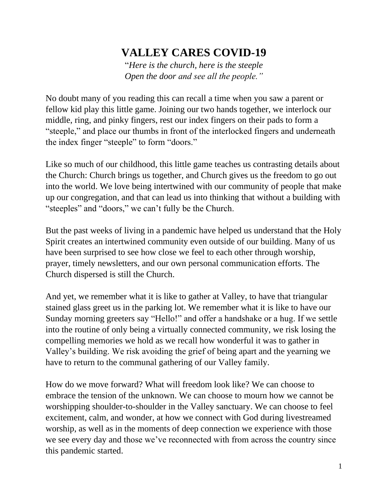## **VALLEY CARES COVID-19**

"*Here is the church, here is the steeple Open the door and see all the people."*

No doubt many of you reading this can recall a time when you saw a parent or fellow kid play this little game. Joining our two hands together, we interlock our middle, ring, and pinky fingers, rest our index fingers on their pads to form a "steeple," and place our thumbs in front of the interlocked fingers and underneath the index finger "steeple" to form "doors."

Like so much of our childhood, this little game teaches us contrasting details about the Church: Church brings us together, and Church gives us the freedom to go out into the world. We love being intertwined with our community of people that make up our congregation, and that can lead us into thinking that without a building with "steeples" and "doors," we can't fully be the Church.

But the past weeks of living in a pandemic have helped us understand that the Holy Spirit creates an intertwined community even outside of our building. Many of us have been surprised to see how close we feel to each other through worship, prayer, timely newsletters, and our own personal communication efforts. The Church dispersed is still the Church.

And yet, we remember what it is like to gather at Valley, to have that triangular stained glass greet us in the parking lot. We remember what it is like to have our Sunday morning greeters say "Hello!" and offer a handshake or a hug. If we settle into the routine of only being a virtually connected community, we risk losing the compelling memories we hold as we recall how wonderful it was to gather in Valley's building. We risk avoiding the grief of being apart and the yearning we have to return to the communal gathering of our Valley family.

How do we move forward? What will freedom look like? We can choose to embrace the tension of the unknown. We can choose to mourn how we cannot be worshipping shoulder-to-shoulder in the Valley sanctuary. We can choose to feel excitement, calm, and wonder, at how we connect with God during livestreamed worship, as well as in the moments of deep connection we experience with those we see every day and those we've reconnected with from across the country since this pandemic started.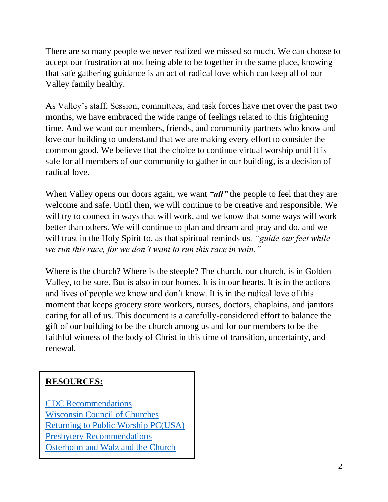There are so many people we never realized we missed so much. We can choose to accept our frustration at not being able to be together in the same place, knowing that safe gathering guidance is an act of radical love which can keep all of our Valley family healthy.

As Valley's staff, Session, committees, and task forces have met over the past two months, we have embraced the wide range of feelings related to this frightening time. And we want our members, friends, and community partners who know and love our building to understand that we are making every effort to consider the common good. We believe that the choice to continue virtual worship until it is safe for all members of our community to gather in our building, is a decision of radical love.

When Valley opens our doors again, we want **"all"** the people to feel that they are welcome and safe. Until then, we will continue to be creative and responsible. We will try to connect in ways that will work, and we know that some ways will work better than others. We will continue to plan and dream and pray and do, and we will trust in the Holy Spirit to, as that spiritual reminds us*, "guide our feet while we run this race, for we don't want to run this race in vain."*

Where is the church? Where is the steeple? The church, our church, is in Golden Valley, to be sure. But is also in our homes. It is in our hearts. It is in the actions and lives of people we know and don't know. It is in the radical love of this moment that keeps grocery store workers, nurses, doctors, chaplains, and janitors caring for all of us. This document is a carefully-considered effort to balance the gift of our building to be the church among us and for our members to be the faithful witness of the body of Christ in this time of transition, uncertainty, and renewal.

### **RESOURCES:**

[CDC Recommendations](https://context-cdn.washingtonpost.com/notes/prod/default/documents/5c0a7b41-2997-4a9a-ad3a-7d2ff788fc8e/note/8c6cbafb-bc04-4d78-9f15-cf27fc7c4b4d.#page=1) [Wisconsin Council of Churches](https://www.wichurches.org/2020/04/23/returning-to-church/) [Returning to Public Worship](https://www.pcusa.org/site_media/media/uploads/covid-19/returning_to_public_worship_may_2020.pdf) PC(USA) [Presbytery Recommendations](https://ptcaweb.org/images/Documents/May_1_Letter_from_Officers.pdf) [Osterholm and Walz and the Church](https://www.minnesotaumc.org/newsdetail/osterholm-and-walz-talk-covid-19-and-churches-13993626)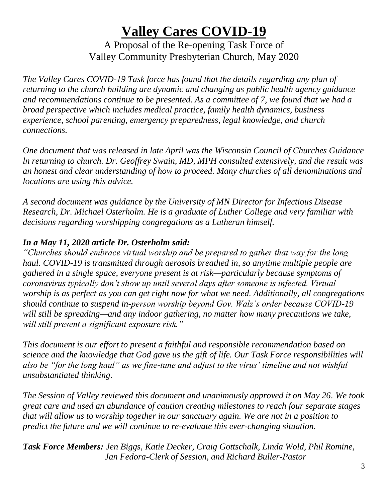# **Valley Cares COVID-19**

A Proposal of the Re-opening Task Force of Valley Community Presbyterian Church, May 2020

*The Valley Cares COVID-19 Task force has found that the details regarding any plan of returning to the church building are dynamic and changing as public health agency guidance and recommendations continue to be presented. As a committee of 7, we found that we had a broad perspective which includes medical practice, family health dynamics, business experience, school parenting, emergency preparedness, legal knowledge, and church connections.* 

*One document that was released in late April was the Wisconsin Council of Churches Guidance ln returning to church. Dr. Geoffrey Swain, MD, MPH consulted extensively, and the result was an honest and clear understanding of how to proceed. Many churches of all denominations and locations are using this advice.*

*A second document was guidance by the University of MN Director for Infectious Disease Research, Dr. Michael Osterholm. He is a graduate of Luther College and very familiar with decisions regarding worshipping congregations as a Lutheran himself.*

#### *In a May 11, 2020 article Dr. Osterholm said:*

*"Churches should embrace virtual worship and be prepared to gather that way for the long haul. COVID-19 is transmitted through aerosols breathed in, so anytime multiple people are gathered in a single space, everyone present is at risk—particularly because symptoms of coronavirus typically don't show up until several days after someone is infected. Virtual worship is as perfect as you can get right now for what we need. Additionally, all congregations should continue to suspend in-person worship beyond Gov. Walz's order because COVID-19 will still be spreading—and any indoor gathering, no matter how many precautions we take, will still present a significant exposure risk."*

*This document is our effort to present a faithful and responsible recommendation based on science and the knowledge that God gave us the gift of life. Our Task Force responsibilities will also be "for the long haul" as we fine-tune and adjust to the virus' timeline and not wishful unsubstantiated thinking.*

*The Session of Valley reviewed this document and unanimously approved it on May 26. We took great care and used an abundance of caution creating milestones to reach four separate stages that will allow us to worship together in our sanctuary again. We are not in a position to predict the future and we will continue to re-evaluate this ever-changing situation.*

*Task Force Members: Jen Biggs, Katie Decker, Craig Gottschalk, Linda Wold, Phil Romine, Jan Fedora-Clerk of Session, and Richard Buller-Pastor*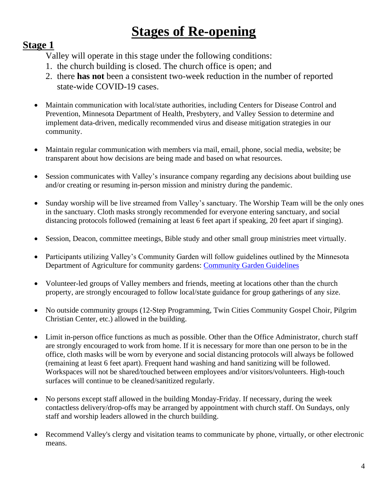# **Stages of Re-opening**

#### **Stage 1**

- 1. the church building is closed. The church office is open; and
- 2. there **has not** been a consistent two-week reduction in the number of reported state-wide COVID-19 cases.
- Maintain communication with local/state authorities, including Centers for Disease Control and Prevention, Minnesota Department of Health, Presbytery, and Valley Session to determine and implement data-driven, medically recommended virus and disease mitigation strategies in our community.
- Maintain regular communication with members via mail, email, phone, social media, website; be transparent about how decisions are being made and based on what resources.
- Session communicates with Valley's insurance company regarding any decisions about building use and/or creating or resuming in-person mission and ministry during the pandemic.
- Sunday worship will be live streamed from Valley's sanctuary. The Worship Team will be the only ones in the sanctuary. Cloth masks strongly recommended for everyone entering sanctuary, and social distancing protocols followed (remaining at least 6 feet apart if speaking, 20 feet apart if singing).
- Session, Deacon, committee meetings, Bible study and other small group ministries meet virtually.
- Participants utilizing Valley's Community Garden will follow guidelines outlined by the Minnesota Department of Agriculture for community gardens: [Community Garden Guidelines](https://www.mda.state.mn.us/sites/default/files/inline-files/COVID-19%20Community%20Gardens%20Guidance%20Apr%202020.pdf)
- Volunteer-led groups of Valley members and friends, meeting at locations other than the church property, are strongly encouraged to follow local/state guidance for group gatherings of any size.
- No outside community groups (12-Step Programming, Twin Cities Community Gospel Choir, Pilgrim Christian Center, etc.) allowed in the building.
- Limit in-person office functions as much as possible. Other than the Office Administrator, church staff are strongly encouraged to work from home. If it is necessary for more than one person to be in the office, cloth masks will be worn by everyone and social distancing protocols will always be followed (remaining at least 6 feet apart). Frequent hand washing and hand sanitizing will be followed. Workspaces will not be shared/touched between employees and/or visitors/volunteers. High-touch surfaces will continue to be cleaned/sanitized regularly.
- No persons except staff allowed in the building Monday-Friday. If necessary, during the week contactless delivery/drop-offs may be arranged by appointment with church staff. On Sundays, only staff and worship leaders allowed in the church building.
- Recommend Valley's clergy and visitation teams to communicate by phone, virtually, or other electronic means.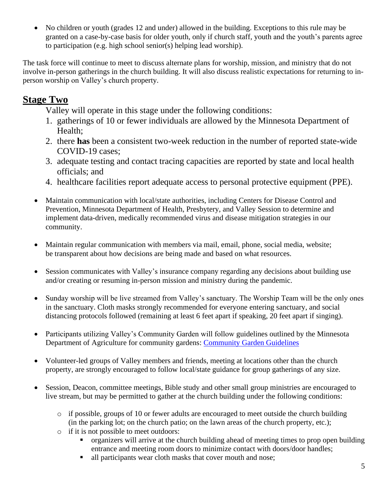• No children or youth (grades 12 and under) allowed in the building. Exceptions to this rule may be granted on a case-by-case basis for older youth, only if church staff, youth and the youth's parents agree to participation (e.g. high school senior(s) helping lead worship).

The task force will continue to meet to discuss alternate plans for worship, mission, and ministry that do not involve in-person gatherings in the church building. It will also discuss realistic expectations for returning to inperson worship on Valley's church property.

### **Stage Two**

- 1. gatherings of 10 or fewer individuals are allowed by the Minnesota Department of Health;
- 2. there **has** been a consistent two-week reduction in the number of reported state-wide COVID-19 cases;
- 3. adequate testing and contact tracing capacities are reported by state and local health officials; and
- 4. healthcare facilities report adequate access to personal protective equipment (PPE).
- Maintain communication with local/state authorities, including Centers for Disease Control and Prevention, Minnesota Department of Health, Presbytery, and Valley Session to determine and implement data-driven, medically recommended virus and disease mitigation strategies in our community.
- Maintain regular communication with members via mail, email, phone, social media, website; be transparent about how decisions are being made and based on what resources.
- Session communicates with Valley's insurance company regarding any decisions about building use and/or creating or resuming in-person mission and ministry during the pandemic.
- Sunday worship will be live streamed from Valley's sanctuary. The Worship Team will be the only ones in the sanctuary. Cloth masks strongly recommended for everyone entering sanctuary, and social distancing protocols followed (remaining at least 6 feet apart if speaking, 20 feet apart if singing).
- Participants utilizing Valley's Community Garden will follow guidelines outlined by the Minnesota Department of Agriculture for community gardens: [Community Garden Guidelines](https://www.mda.state.mn.us/sites/default/files/inline-files/COVID-19%20Community%20Gardens%20Guidance%20Apr%202020.pdf)
- Volunteer-led groups of Valley members and friends, meeting at locations other than the church property, are strongly encouraged to follow local/state guidance for group gatherings of any size.
- Session, Deacon, committee meetings, Bible study and other small group ministries are encouraged to live stream, but may be permitted to gather at the church building under the following conditions:
	- $\circ$  if possible, groups of 10 or fewer adults are encouraged to meet outside the church building (in the parking lot; on the church patio; on the lawn areas of the church property, etc.);
	- o if it is not possible to meet outdoors:
		- organizers will arrive at the church building ahead of meeting times to prop open building entrance and meeting room doors to minimize contact with doors/door handles;
		- In all participants wear cloth masks that cover mouth and nose;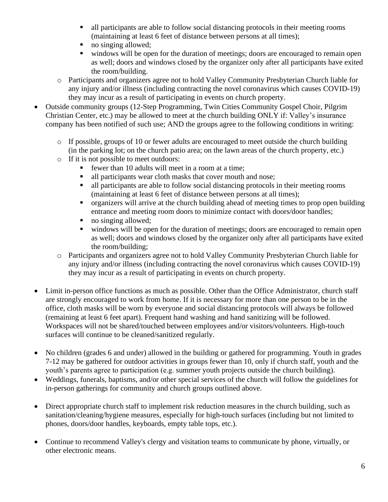- all participants are able to follow social distancing protocols in their meeting rooms (maintaining at least 6 feet of distance between persons at all times);
- no singing allowed;
- windows will be open for the duration of meetings; doors are encouraged to remain open as well; doors and windows closed by the organizer only after all participants have exited the room/building.
- o Participants and organizers agree not to hold Valley Community Presbyterian Church liable for any injury and/or illness (including contracting the novel coronavirus which causes COVID-19) they may incur as a result of participating in events on church property.
- Outside community groups (12-Step Programming, Twin Cities Community Gospel Choir, Pilgrim Christian Center, etc.) may be allowed to meet at the church building ONLY if: Valley's insurance company has been notified of such use; AND the groups agree to the following conditions in writing:
	- $\circ$  If possible, groups of 10 or fewer adults are encouraged to meet outside the church building (in the parking lot; on the church patio area; on the lawn areas of the church property, etc.)
	- o If it is not possible to meet outdoors:
		- fewer than 10 adults will meet in a room at a time;
		- In all participants wear cloth masks that cover mouth and nose;
		- all participants are able to follow social distancing protocols in their meeting rooms (maintaining at least 6 feet of distance between persons at all times);
		- organizers will arrive at the church building ahead of meeting times to prop open building entrance and meeting room doors to minimize contact with doors/door handles;
		- no singing allowed:
		- windows will be open for the duration of meetings; doors are encouraged to remain open as well; doors and windows closed by the organizer only after all participants have exited the room/building;
	- o Participants and organizers agree not to hold Valley Community Presbyterian Church liable for any injury and/or illness (including contracting the novel coronavirus which causes COVID-19) they may incur as a result of participating in events on church property.
- Limit in-person office functions as much as possible. Other than the Office Administrator, church staff are strongly encouraged to work from home. If it is necessary for more than one person to be in the office, cloth masks will be worn by everyone and social distancing protocols will always be followed (remaining at least 6 feet apart). Frequent hand washing and hand sanitizing will be followed. Workspaces will not be shared/touched between employees and/or visitors/volunteers. High-touch surfaces will continue to be cleaned/sanitized regularly.
- No children (grades 6 and under) allowed in the building or gathered for programming. Youth in grades 7-12 may be gathered for outdoor activities in groups fewer than 10, only if church staff, youth and the youth's parents agree to participation (e.g. summer youth projects outside the church building).
- Weddings, funerals, baptisms, and/or other special services of the church will follow the guidelines for in-person gatherings for community and church groups outlined above.
- Direct appropriate church staff to implement risk reduction measures in the church building, such as sanitation/cleaning/hygiene measures, especially for high-touch surfaces (including but not limited to phones, doors/door handles, keyboards, empty table tops, etc.).
- Continue to recommend Valley's clergy and visitation teams to communicate by phone, virtually, or other electronic means.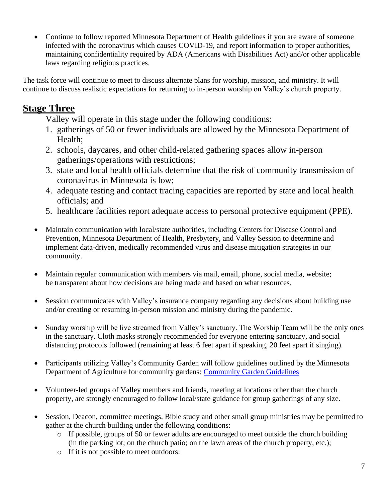• Continue to follow reported Minnesota Department of Health guidelines if you are aware of someone infected with the coronavirus which causes COVID-19, and report information to proper authorities, maintaining confidentiality required by ADA (Americans with Disabilities Act) and/or other applicable laws regarding religious practices.

The task force will continue to meet to discuss alternate plans for worship, mission, and ministry. It will continue to discuss realistic expectations for returning to in-person worship on Valley's church property.

### **Stage Three**

- 1. gatherings of 50 or fewer individuals are allowed by the Minnesota Department of Health;
- 2. schools, daycares, and other child-related gathering spaces allow in-person gatherings/operations with restrictions;
- 3. state and local health officials determine that the risk of community transmission of coronavirus in Minnesota is low;
- 4. adequate testing and contact tracing capacities are reported by state and local health officials; and
- 5. healthcare facilities report adequate access to personal protective equipment (PPE).
- Maintain communication with local/state authorities, including Centers for Disease Control and Prevention, Minnesota Department of Health, Presbytery, and Valley Session to determine and implement data-driven, medically recommended virus and disease mitigation strategies in our community.
- Maintain regular communication with members via mail, email, phone, social media, website; be transparent about how decisions are being made and based on what resources.
- Session communicates with Valley's insurance company regarding any decisions about building use and/or creating or resuming in-person mission and ministry during the pandemic.
- Sunday worship will be live streamed from Valley's sanctuary. The Worship Team will be the only ones in the sanctuary. Cloth masks strongly recommended for everyone entering sanctuary, and social distancing protocols followed (remaining at least 6 feet apart if speaking, 20 feet apart if singing).
- Participants utilizing Valley's Community Garden will follow guidelines outlined by the Minnesota Department of Agriculture for community gardens: [Community Garden Guidelines](https://www.mda.state.mn.us/sites/default/files/inline-files/COVID-19%20Community%20Gardens%20Guidance%20Apr%202020.pdf)
- Volunteer-led groups of Valley members and friends, meeting at locations other than the church property, are strongly encouraged to follow local/state guidance for group gatherings of any size.
- Session, Deacon, committee meetings, Bible study and other small group ministries may be permitted to gather at the church building under the following conditions:
	- o If possible, groups of 50 or fewer adults are encouraged to meet outside the church building (in the parking lot; on the church patio; on the lawn areas of the church property, etc.);
	- o If it is not possible to meet outdoors: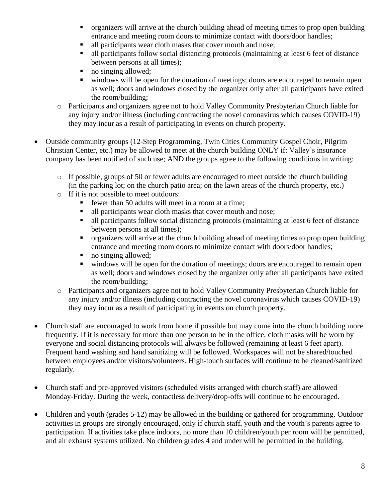- organizers will arrive at the church building ahead of meeting times to prop open building entrance and meeting room doors to minimize contact with doors/door handles;
- all participants wear cloth masks that cover mouth and nose;
- In all participants follow social distancing protocols (maintaining at least 6 feet of distance between persons at all times);
- no singing allowed;
- windows will be open for the duration of meetings; doors are encouraged to remain open as well; doors and windows closed by the organizer only after all participants have exited the room/building;
- o Participants and organizers agree not to hold Valley Community Presbyterian Church liable for any injury and/or illness (including contracting the novel coronavirus which causes COVID-19) they may incur as a result of participating in events on church property.
- Outside community groups (12-Step Programming, Twin Cities Community Gospel Choir, Pilgrim Christian Center, etc.) may be allowed to meet at the church building ONLY if: Valley's insurance company has been notified of such use; AND the groups agree to the following conditions in writing:
	- $\circ$  If possible, groups of 50 or fewer adults are encouraged to meet outside the church building (in the parking lot; on the church patio area; on the lawn areas of the church property, etc.)
	- o If it is not possible to meet outdoors:
		- fewer than 50 adults will meet in a room at a time:
		- all participants wear cloth masks that cover mouth and nose;
		- all participants follow social distancing protocols (maintaining at least 6 feet of distance between persons at all times);
		- organizers will arrive at the church building ahead of meeting times to prop open building entrance and meeting room doors to minimize contact with doors/door handles;
		- no singing allowed;
		- windows will be open for the duration of meetings; doors are encouraged to remain open as well; doors and windows closed by the organizer only after all participants have exited the room/building;
	- o Participants and organizers agree not to hold Valley Community Presbyterian Church liable for any injury and/or illness (including contracting the novel coronavirus which causes COVID-19) they may incur as a result of participating in events on church property.
- Church staff are encouraged to work from home if possible but may come into the church building more frequently. If it is necessary for more than one person to be in the office, cloth masks will be worn by everyone and social distancing protocols will always be followed (remaining at least 6 feet apart). Frequent hand washing and hand sanitizing will be followed. Workspaces will not be shared/touched between employees and/or visitors/volunteers. High-touch surfaces will continue to be cleaned/sanitized regularly.
- Church staff and pre-approved visitors (scheduled visits arranged with church staff) are allowed Monday-Friday. During the week, contactless delivery/drop-offs will continue to be encouraged.
- Children and youth (grades 5-12) may be allowed in the building or gathered for programming. Outdoor activities in groups are strongly encouraged, only if church staff, youth and the youth's parents agree to participation. If activities take place indoors, no more than 10 children/youth per room will be permitted, and air exhaust systems utilized. No children grades 4 and under will be permitted in the building.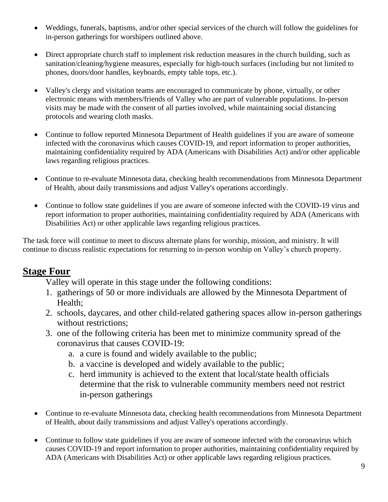- Weddings, funerals, baptisms, and/or other special services of the church will follow the guidelines for in-person gatherings for worshipers outlined above.
- Direct appropriate church staff to implement risk reduction measures in the church building, such as sanitation/cleaning/hygiene measures, especially for high-touch surfaces (including but not limited to phones, doors/door handles, keyboards, empty table tops, etc.).
- Valley's clergy and visitation teams are encouraged to communicate by phone, virtually, or other electronic means with members/friends of Valley who are part of vulnerable populations. In-person visits may be made with the consent of all parties involved, while maintaining social distancing protocols and wearing cloth masks.
- Continue to follow reported Minnesota Department of Health guidelines if you are aware of someone infected with the coronavirus which causes COVID-19, and report information to proper authorities, maintaining confidentiality required by ADA (Americans with Disabilities Act) and/or other applicable laws regarding religious practices.
- Continue to re-evaluate Minnesota data, checking health recommendations from Minnesota Department of Health, about daily transmissions and adjust Valley's operations accordingly.
- Continue to follow state guidelines if you are aware of someone infected with the COVID-19 virus and report information to proper authorities, maintaining confidentiality required by ADA (Americans with Disabilities Act) or other applicable laws regarding religious practices.

The task force will continue to meet to discuss alternate plans for worship, mission, and ministry. It will continue to discuss realistic expectations for returning to in-person worship on Valley's church property.

### **Stage Four**

- 1. gatherings of 50 or more individuals are allowed by the Minnesota Department of Health;
- 2. schools, daycares, and other child-related gathering spaces allow in-person gatherings without restrictions;
- 3. one of the following criteria has been met to minimize community spread of the coronavirus that causes COVID-19:
	- a. a cure is found and widely available to the public;
	- b. a vaccine is developed and widely available to the public;
	- c. herd immunity is achieved to the extent that local/state health officials determine that the risk to vulnerable community members need not restrict in-person gatherings
- Continue to re-evaluate Minnesota data, checking health recommendations from Minnesota Department of Health, about daily transmissions and adjust Valley's operations accordingly.
- Continue to follow state guidelines if you are aware of someone infected with the coronavirus which causes COVID-19 and report information to proper authorities, maintaining confidentiality required by ADA (Americans with Disabilities Act) or other applicable laws regarding religious practices.